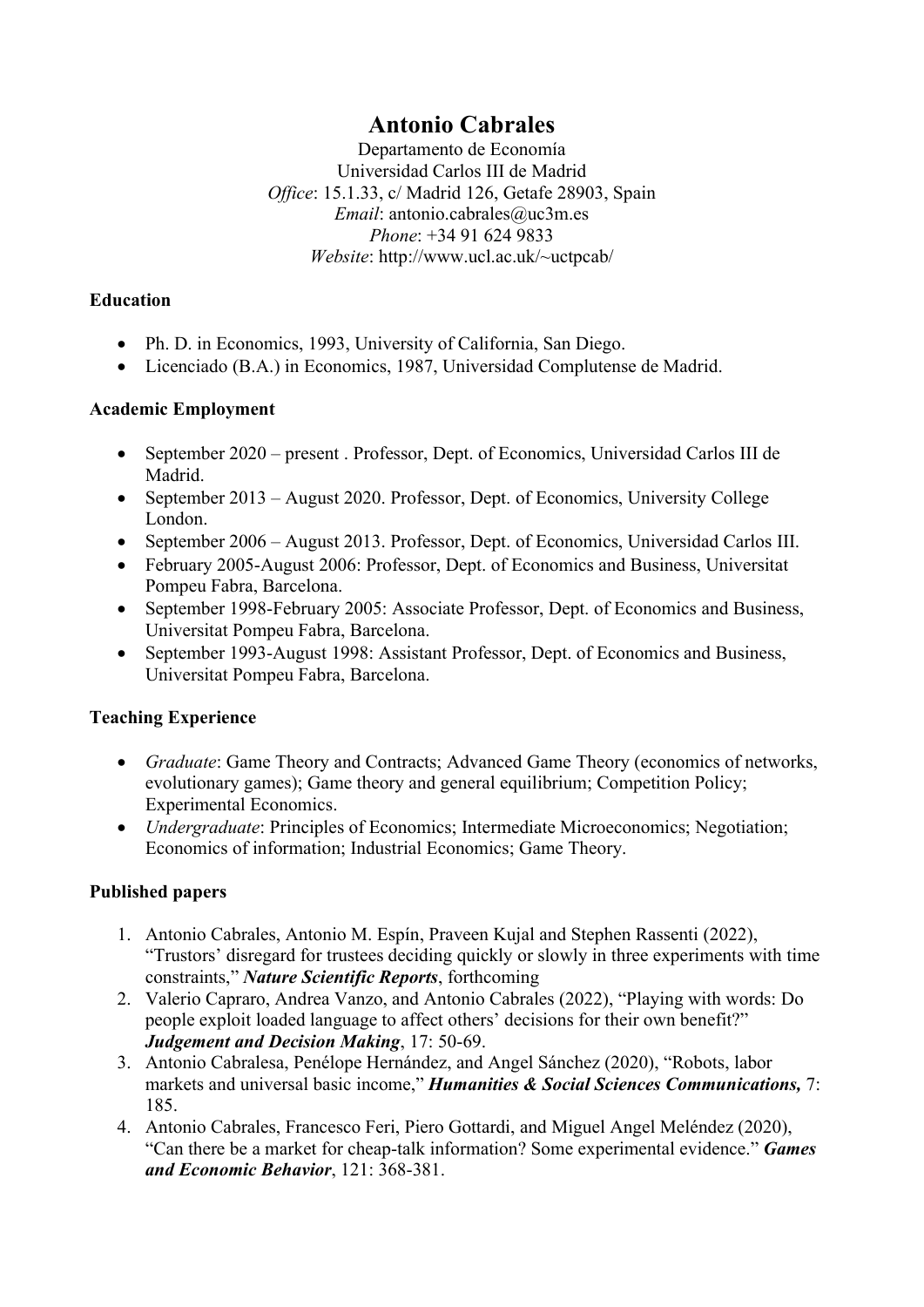# Antonio Cabrales

Departamento de Economía Universidad Carlos III de Madrid Office: 15.1.33, c/ Madrid 126, Getafe 28903, Spain Email: antonio.cabrales@uc3m.es Phone: +34 91 624 9833 Website: http://www.ucl.ac.uk/~uctpcab/

## **Education**

- Ph. D. in Economics, 1993, University of California, San Diego.
- Licenciado (B.A.) in Economics, 1987, Universidad Complutense de Madrid.

## Academic Employment

- September 2020 present . Professor, Dept. of Economics, Universidad Carlos III de Madrid.
- September 2013 August 2020. Professor, Dept. of Economics, University College London.
- September 2006 August 2013. Professor, Dept. of Economics, Universidad Carlos III.
- February 2005-August 2006: Professor, Dept. of Economics and Business, Universitat Pompeu Fabra, Barcelona.
- September 1998-February 2005: Associate Professor, Dept. of Economics and Business, Universitat Pompeu Fabra, Barcelona.
- September 1993-August 1998: Assistant Professor, Dept. of Economics and Business, Universitat Pompeu Fabra, Barcelona.

# Teaching Experience

- Graduate: Game Theory and Contracts; Advanced Game Theory (economics of networks, evolutionary games); Game theory and general equilibrium; Competition Policy; Experimental Economics.
- *Undergraduate:* Principles of Economics; Intermediate Microeconomics; Negotiation; Economics of information; Industrial Economics; Game Theory.

# Published papers

- 1. Antonio Cabrales, Antonio M. Espín, Praveen Kujal and Stephen Rassenti (2022), "Trustors' disregard for trustees deciding quickly or slowly in three experiments with time constraints," Nature Scientific Reports, forthcoming
- 2. Valerio Capraro, Andrea Vanzo, and Antonio Cabrales (2022), "Playing with words: Do people exploit loaded language to affect others' decisions for their own benefit?" Judgement and Decision Making, 17: 50-69.
- 3. Antonio Cabralesa, Penélope Hernández, and Angel Sánchez (2020), "Robots, labor markets and universal basic income," *Humanities & Social Sciences Communications*, 7: 185.
- 4. Antonio Cabrales, Francesco Feri, Piero Gottardi, and Miguel Angel Meléndez (2020), "Can there be a market for cheap-talk information? Some experimental evidence." Games and Economic Behavior, 121: 368-381.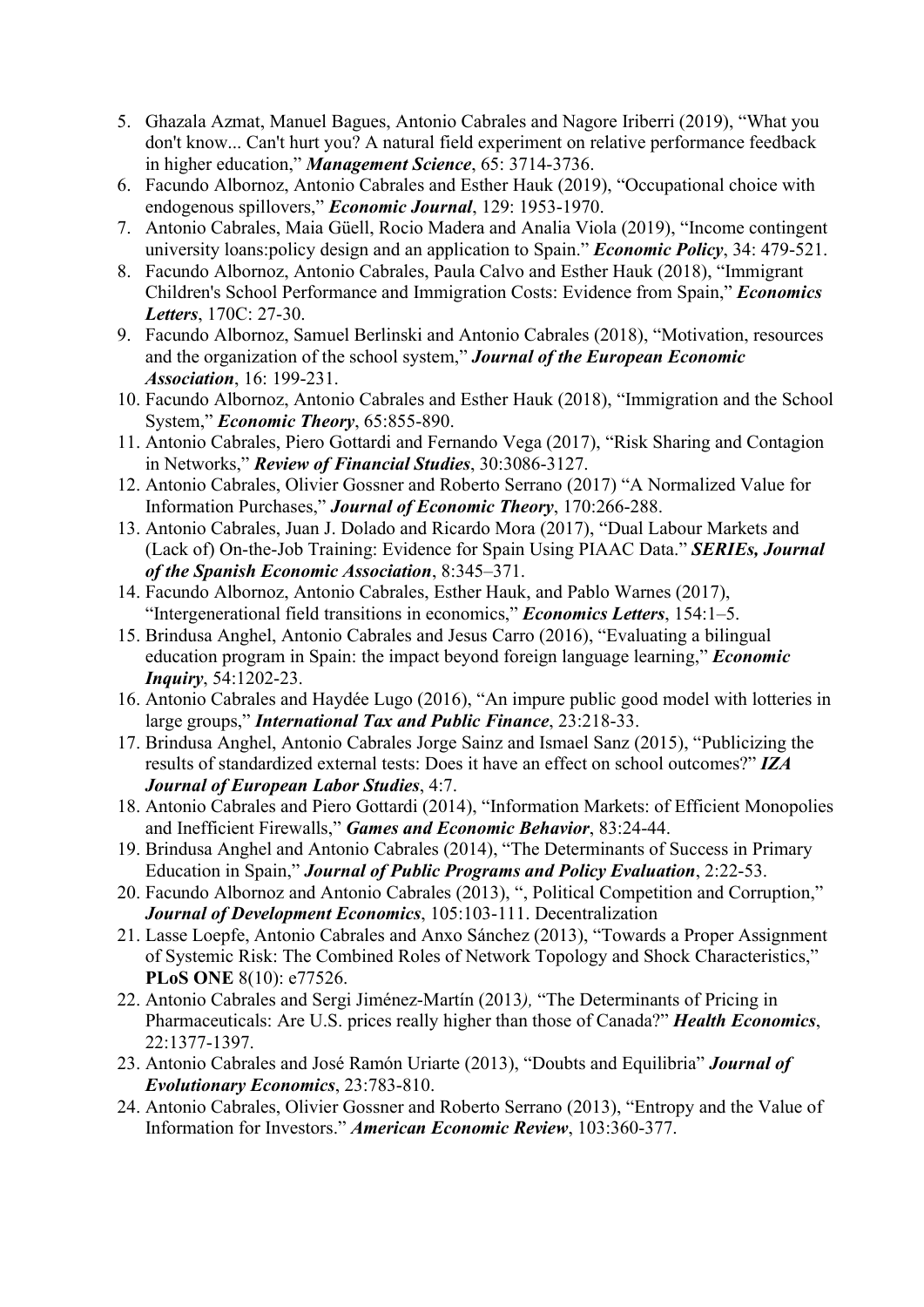- 5. Ghazala Azmat, Manuel Bagues, Antonio Cabrales and Nagore Iriberri (2019), "What you don't know... Can't hurt you? A natural field experiment on relative performance feedback in higher education," Management Science, 65: 3714-3736.
- 6. Facundo Albornoz, Antonio Cabrales and Esther Hauk (2019), "Occupational choice with endogenous spillovers," Economic Journal, 129: 1953-1970.
- 7. Antonio Cabrales, Maia Güell, Rocio Madera and Analia Viola (2019), "Income contingent university loans: policy design and an application to Spain." *Economic Policy*, 34: 479-521.
- 8. Facundo Albornoz, Antonio Cabrales, Paula Calvo and Esther Hauk (2018), "Immigrant Children's School Performance and Immigration Costs: Evidence from Spain," Economics Letters, 170C: 27-30.
- 9. Facundo Albornoz, Samuel Berlinski and Antonio Cabrales (2018), "Motivation, resources and the organization of the school system," Journal of the European Economic Association, 16: 199-231.
- 10. Facundo Albornoz, Antonio Cabrales and Esther Hauk (2018), "Immigration and the School System," Economic Theory, 65:855-890.
- 11. Antonio Cabrales, Piero Gottardi and Fernando Vega (2017), "Risk Sharing and Contagion in Networks," Review of Financial Studies, 30:3086-3127.
- 12. Antonio Cabrales, Olivier Gossner and Roberto Serrano (2017) "A Normalized Value for Information Purchases," Journal of Economic Theory, 170:266-288.
- 13. Antonio Cabrales, Juan J. Dolado and Ricardo Mora (2017), "Dual Labour Markets and (Lack of) On-the-Job Training: Evidence for Spain Using PIAAC Data." SERIEs, Journal of the Spanish Economic Association, 8:345–371.
- 14. Facundo Albornoz, Antonio Cabrales, Esther Hauk, and Pablo Warnes (2017), "Intergenerational field transitions in economics," Economics Letters, 154:1–5.
- 15. Brindusa Anghel, Antonio Cabrales and Jesus Carro (2016), "Evaluating a bilingual education program in Spain: the impact beyond foreign language learning," *Economic* Inquiry, 54:1202-23.
- 16. Antonio Cabrales and Haydée Lugo (2016), "An impure public good model with lotteries in large groups," International Tax and Public Finance, 23:218-33.
- 17. Brindusa Anghel, Antonio Cabrales Jorge Sainz and Ismael Sanz (2015), "Publicizing the results of standardized external tests: Does it have an effect on school outcomes?" IZA Journal of European Labor Studies, 4:7.
- 18. Antonio Cabrales and Piero Gottardi (2014), "Information Markets: of Efficient Monopolies and Inefficient Firewalls," Games and Economic Behavior, 83:24-44.
- 19. Brindusa Anghel and Antonio Cabrales (2014), "The Determinants of Success in Primary Education in Spain," Journal of Public Programs and Policy Evaluation, 2:22-53.
- 20. Facundo Albornoz and Antonio Cabrales (2013), ", Political Competition and Corruption," Journal of Development Economics, 105:103-111. Decentralization
- 21. Lasse Loepfe, Antonio Cabrales and Anxo Sánchez (2013), "Towards a Proper Assignment of Systemic Risk: The Combined Roles of Network Topology and Shock Characteristics," PLoS ONE 8(10): e77526.
- 22. Antonio Cabrales and Sergi Jiménez-Martín (2013), "The Determinants of Pricing in Pharmaceuticals: Are U.S. prices really higher than those of Canada?" Health Economics, 22:1377-1397.
- 23. Antonio Cabrales and José Ramón Uriarte (2013), "Doubts and Equilibria" Journal of Evolutionary Economics, 23:783-810.
- 24. Antonio Cabrales, Olivier Gossner and Roberto Serrano (2013), "Entropy and the Value of Information for Investors." American Economic Review, 103:360-377.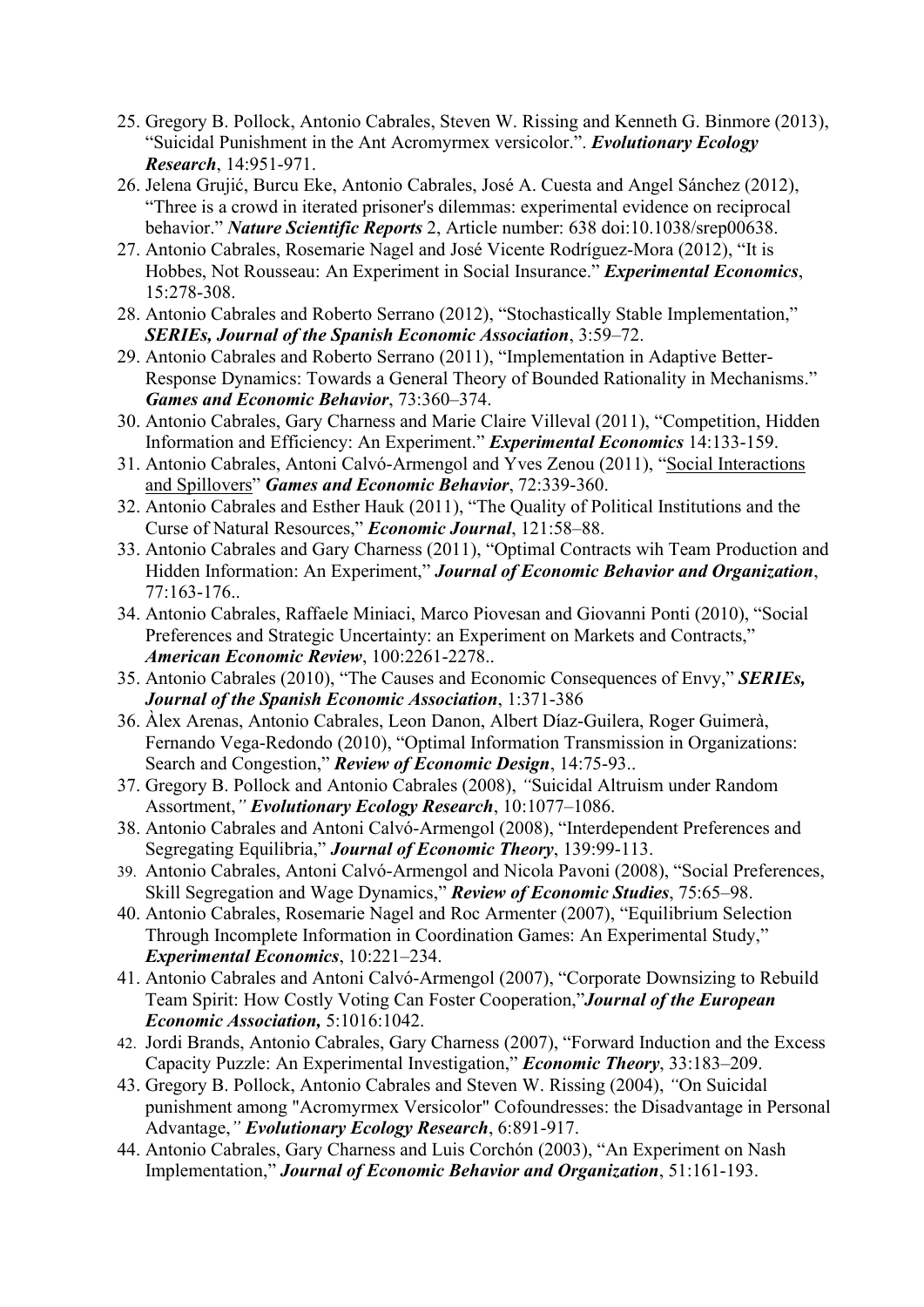- 25. Gregory B. Pollock, Antonio Cabrales, Steven W. Rissing and Kenneth G. Binmore (2013), "Suicidal Punishment in the Ant Acromyrmex versicolor.". Evolutionary Ecology Research, 14:951-971.
- 26. Jelena Grujić, Burcu Eke, Antonio Cabrales, José A. Cuesta and Angel Sánchez (2012), "Three is a crowd in iterated prisoner's dilemmas: experimental evidence on reciprocal behavior." Nature Scientific Reports 2, Article number: 638 doi:10.1038/srep00638.
- 27. Antonio Cabrales, Rosemarie Nagel and José Vicente Rodríguez-Mora (2012), "It is Hobbes, Not Rousseau: An Experiment in Social Insurance." Experimental Economics, 15:278-308.
- 28. Antonio Cabrales and Roberto Serrano (2012), "Stochastically Stable Implementation," SERIEs, Journal of the Spanish Economic Association, 3:59–72.
- 29. Antonio Cabrales and Roberto Serrano (2011), "Implementation in Adaptive Better-Response Dynamics: Towards a General Theory of Bounded Rationality in Mechanisms." Games and Economic Behavior, 73:360–374.
- 30. Antonio Cabrales, Gary Charness and Marie Claire Villeval (2011), "Competition, Hidden Information and Efficiency: An Experiment." Experimental Economics 14:133-159.
- 31. Antonio Cabrales, Antoni Calvó-Armengol and Yves Zenou (2011), "Social Interactions and Spillovers" Games and Economic Behavior, 72:339-360.
- 32. Antonio Cabrales and Esther Hauk (2011), "The Quality of Political Institutions and the Curse of Natural Resources," Economic Journal, 121:58–88.
- 33. Antonio Cabrales and Gary Charness (2011), "Optimal Contracts wih Team Production and Hidden Information: An Experiment," Journal of Economic Behavior and Organization, 77:163-176..
- 34. Antonio Cabrales, Raffaele Miniaci, Marco Piovesan and Giovanni Ponti (2010), "Social Preferences and Strategic Uncertainty: an Experiment on Markets and Contracts," American Economic Review, 100:2261-2278..
- 35. Antonio Cabrales (2010), "The Causes and Economic Consequences of Envy," SERIEs, Journal of the Spanish Economic Association, 1:371-386
- 36. Àlex Arenas, Antonio Cabrales, Leon Danon, Albert Díaz-Guilera, Roger Guimerà, Fernando Vega-Redondo (2010), "Optimal Information Transmission in Organizations: Search and Congestion," Review of Economic Design, 14:75-93..
- 37. Gregory B. Pollock and Antonio Cabrales (2008), "Suicidal Altruism under Random Assortment," Evolutionary Ecology Research, 10:1077–1086.
- 38. Antonio Cabrales and Antoni Calvó-Armengol (2008), "Interdependent Preferences and Segregating Equilibria," Journal of Economic Theory, 139:99-113.
- 39. Antonio Cabrales, Antoni Calvó-Armengol and Nicola Pavoni (2008), "Social Preferences, Skill Segregation and Wage Dynamics," Review of Economic Studies, 75:65–98.
- 40. Antonio Cabrales, Rosemarie Nagel and Roc Armenter (2007), "Equilibrium Selection Through Incomplete Information in Coordination Games: An Experimental Study," Experimental Economics, 10:221–234.
- 41. Antonio Cabrales and Antoni Calvó-Armengol (2007), "Corporate Downsizing to Rebuild Team Spirit: How Costly Voting Can Foster Cooperation," Journal of the European Economic Association, 5:1016:1042.
- 42. Jordi Brands, Antonio Cabrales, Gary Charness (2007), "Forward Induction and the Excess Capacity Puzzle: An Experimental Investigation," Economic Theory, 33:183–209.
- 43. Gregory B. Pollock, Antonio Cabrales and Steven W. Rissing (2004), "On Suicidal punishment among "Acromyrmex Versicolor" Cofoundresses: the Disadvantage in Personal Advantage," Evolutionary Ecology Research, 6:891-917.
- 44. Antonio Cabrales, Gary Charness and Luis Corchón (2003), "An Experiment on Nash Implementation," Journal of Economic Behavior and Organization, 51:161-193.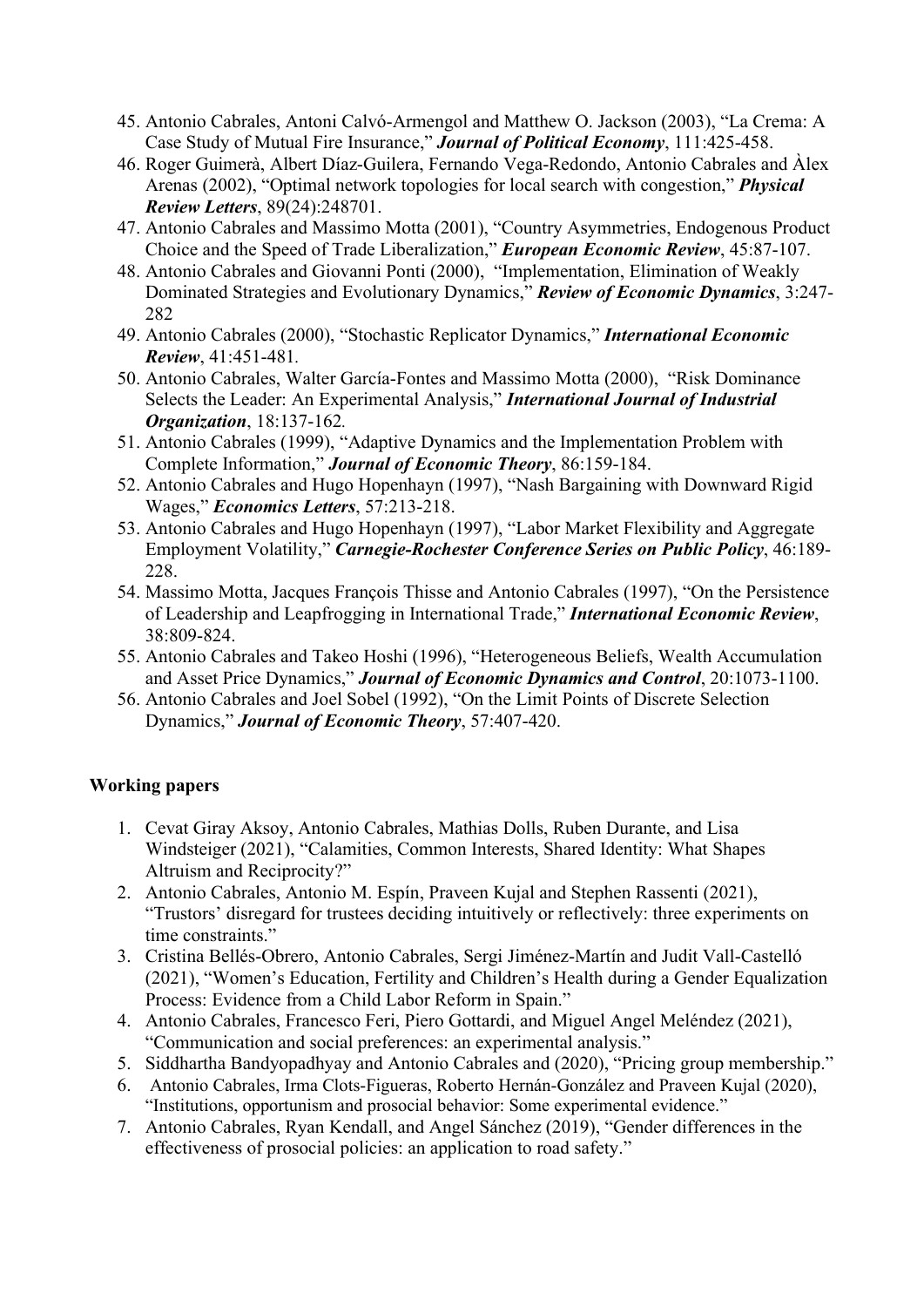- 45. Antonio Cabrales, Antoni Calvó-Armengol and Matthew O. Jackson (2003), "La Crema: A Case Study of Mutual Fire Insurance," Journal of Political Economy, 111:425-458.
- 46. Roger Guimerà, Albert Díaz-Guilera, Fernando Vega-Redondo, Antonio Cabrales and Àlex Arenas (2002), "Optimal network topologies for local search with congestion," Physical Review Letters, 89(24):248701.
- 47. Antonio Cabrales and Massimo Motta (2001), "Country Asymmetries, Endogenous Product Choice and the Speed of Trade Liberalization," European Economic Review, 45:87-107.
- 48. Antonio Cabrales and Giovanni Ponti (2000), "Implementation, Elimination of Weakly Dominated Strategies and Evolutionary Dynamics," Review of Economic Dynamics, 3:247- 282
- 49. Antonio Cabrales (2000), "Stochastic Replicator Dynamics," International Economic Review, 41:451-481.
- 50. Antonio Cabrales, Walter García-Fontes and Massimo Motta (2000), "Risk Dominance Selects the Leader: An Experimental Analysis," International Journal of Industrial Organization, 18:137-162.
- 51. Antonio Cabrales (1999), "Adaptive Dynamics and the Implementation Problem with Complete Information," Journal of Economic Theory, 86:159-184.
- 52. Antonio Cabrales and Hugo Hopenhayn (1997), "Nash Bargaining with Downward Rigid Wages," Economics Letters, 57:213-218.
- 53. Antonio Cabrales and Hugo Hopenhayn (1997), "Labor Market Flexibility and Aggregate Employment Volatility," Carnegie-Rochester Conference Series on Public Policy, 46:189- 228.
- 54. Massimo Motta, Jacques François Thisse and Antonio Cabrales (1997), "On the Persistence of Leadership and Leapfrogging in International Trade," International Economic Review, 38:809-824.
- 55. Antonio Cabrales and Takeo Hoshi (1996), "Heterogeneous Beliefs, Wealth Accumulation and Asset Price Dynamics," Journal of Economic Dynamics and Control, 20:1073-1100.
- 56. Antonio Cabrales and Joel Sobel (1992), "On the Limit Points of Discrete Selection Dynamics," Journal of Economic Theory, 57:407-420.

## Working papers

- 1. Cevat Giray Aksoy, Antonio Cabrales, Mathias Dolls, Ruben Durante, and Lisa Windsteiger (2021), "Calamities, Common Interests, Shared Identity: What Shapes Altruism and Reciprocity?"
- 2. Antonio Cabrales, Antonio M. Espín, Praveen Kujal and Stephen Rassenti (2021), "Trustors' disregard for trustees deciding intuitively or reflectively: three experiments on time constraints."
- 3. Cristina Bellés-Obrero, Antonio Cabrales, Sergi Jiménez-Martín and Judit Vall-Castelló (2021), "Women's Education, Fertility and Children's Health during a Gender Equalization Process: Evidence from a Child Labor Reform in Spain."
- 4. Antonio Cabrales, Francesco Feri, Piero Gottardi, and Miguel Angel Meléndez (2021), "Communication and social preferences: an experimental analysis."
- 5. Siddhartha Bandyopadhyay and Antonio Cabrales and (2020), "Pricing group membership."
- 6. Antonio Cabrales, Irma Clots-Figueras, Roberto Hernán-González and Praveen Kujal (2020), "Institutions, opportunism and prosocial behavior: Some experimental evidence."
- 7. Antonio Cabrales, Ryan Kendall, and Angel Sánchez (2019), "Gender differences in the effectiveness of prosocial policies: an application to road safety."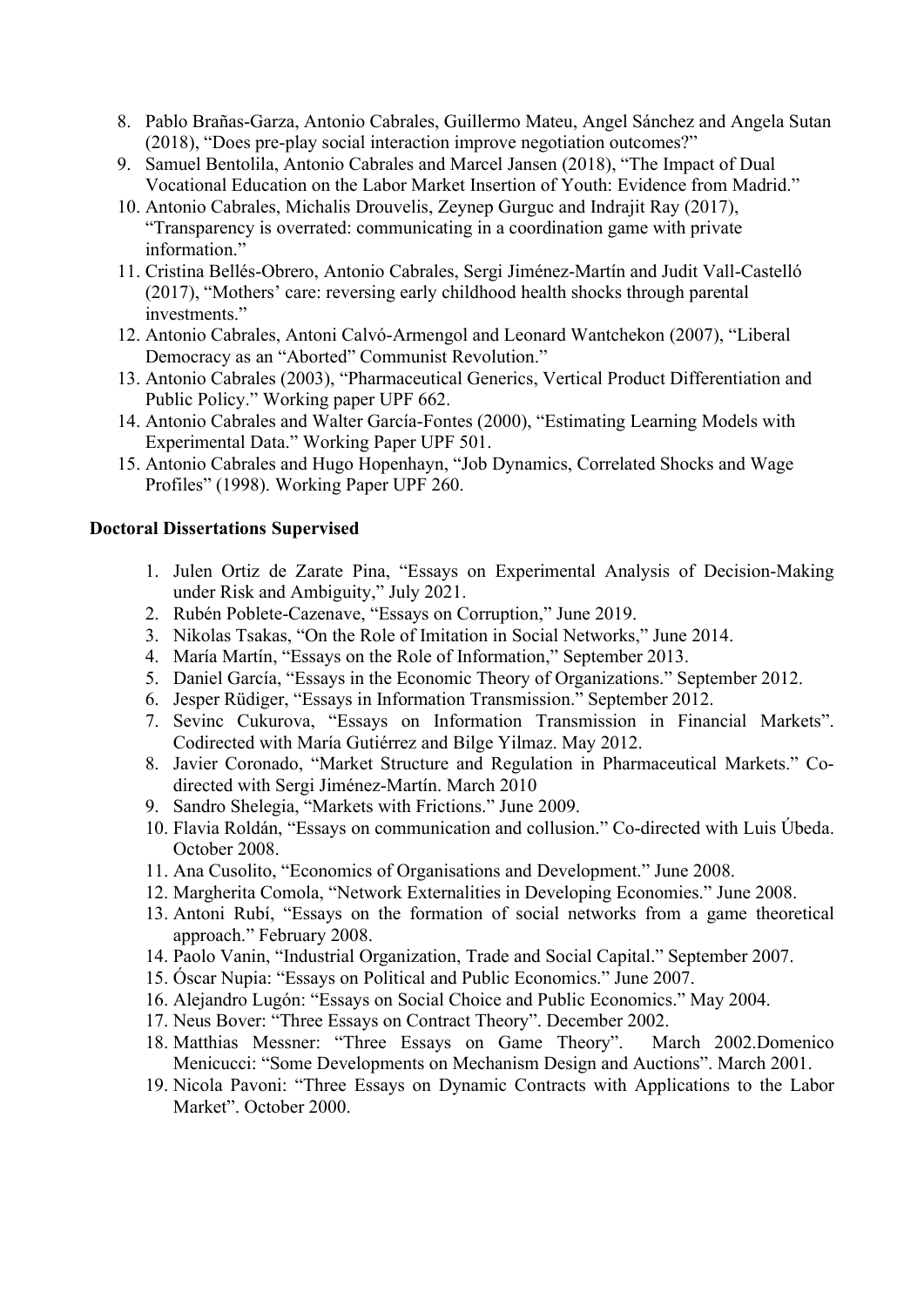- 8. Pablo Brañas-Garza, Antonio Cabrales, Guillermo Mateu, Angel Sánchez and Angela Sutan (2018), "Does pre-play social interaction improve negotiation outcomes?"
- 9. Samuel Bentolila, Antonio Cabrales and Marcel Jansen (2018), "The Impact of Dual Vocational Education on the Labor Market Insertion of Youth: Evidence from Madrid."
- 10. Antonio Cabrales, Michalis Drouvelis, Zeynep Gurguc and Indrajit Ray (2017), "Transparency is overrated: communicating in a coordination game with private information."
- 11. Cristina Bellés-Obrero, Antonio Cabrales, Sergi Jiménez-Martín and Judit Vall-Castelló (2017), "Mothers' care: reversing early childhood health shocks through parental investments."
- 12. Antonio Cabrales, Antoni Calvó-Armengol and Leonard Wantchekon (2007), "Liberal Democracy as an "Aborted" Communist Revolution."
- 13. Antonio Cabrales (2003), "Pharmaceutical Generics, Vertical Product Differentiation and Public Policy." Working paper UPF 662.
- 14. Antonio Cabrales and Walter García-Fontes (2000), "Estimating Learning Models with Experimental Data." Working Paper UPF 501.
- 15. Antonio Cabrales and Hugo Hopenhayn, "Job Dynamics, Correlated Shocks and Wage Profiles" (1998). Working Paper UPF 260.

#### Doctoral Dissertations Supervised

- 1. Julen Ortiz de Zarate Pina, "Essays on Experimental Analysis of Decision-Making under Risk and Ambiguity," July 2021.
- 2. Rubén Poblete-Cazenave, "Essays on Corruption," June 2019.
- 3. Nikolas Tsakas, "On the Role of Imitation in Social Networks," June 2014.
- 4. María Martín, "Essays on the Role of Information," September 2013.
- 5. Daniel García, "Essays in the Economic Theory of Organizations." September 2012.
- 6. Jesper Rüdiger, "Essays in Information Transmission." September 2012.
- 7. Sevinc Cukurova, "Essays on Information Transmission in Financial Markets". Codirected with María Gutiérrez and Bilge Yilmaz. May 2012.
- 8. Javier Coronado, "Market Structure and Regulation in Pharmaceutical Markets." Codirected with Sergi Jiménez-Martín. March 2010
- 9. Sandro Shelegia, "Markets with Frictions." June 2009.
- 10. Flavia Roldán, "Essays on communication and collusion." Co-directed with Luis Úbeda. October 2008.
- 11. Ana Cusolito, "Economics of Organisations and Development." June 2008.
- 12. Margherita Comola, "Network Externalities in Developing Economies." June 2008.
- 13. Antoni Rubí, "Essays on the formation of social networks from a game theoretical approach." February 2008.
- 14. Paolo Vanin, "Industrial Organization, Trade and Social Capital." September 2007.
- 15. Óscar Nupia: "Essays on Political and Public Economics." June 2007.
- 16. Alejandro Lugón: "Essays on Social Choice and Public Economics." May 2004.
- 17. Neus Bover: "Three Essays on Contract Theory". December 2002.
- 18. Matthias Messner: "Three Essays on Game Theory". March 2002.Domenico Menicucci: "Some Developments on Mechanism Design and Auctions". March 2001.
- 19. Nicola Pavoni: "Three Essays on Dynamic Contracts with Applications to the Labor Market". October 2000.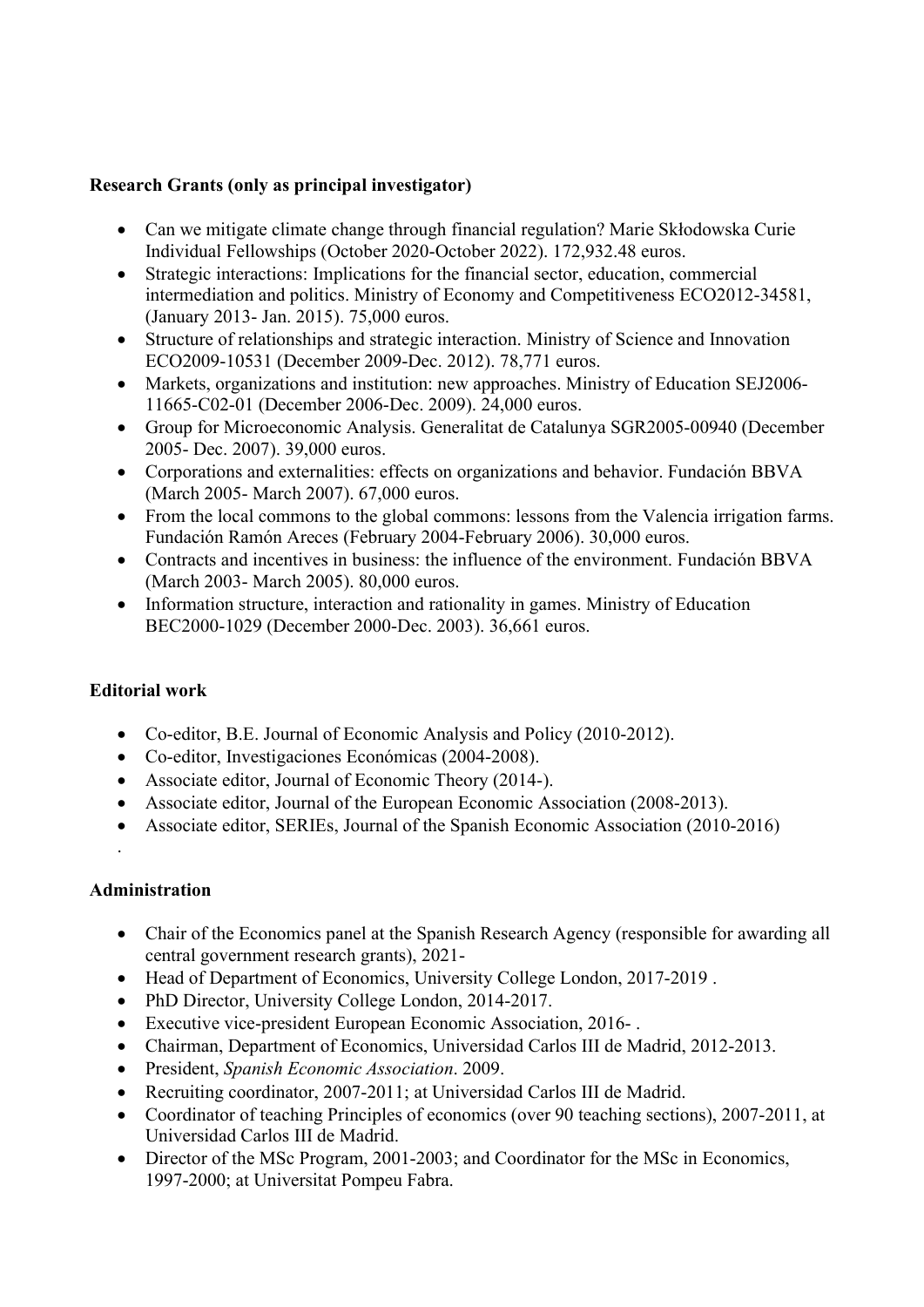## Research Grants (only as principal investigator)

- Can we mitigate climate change through financial regulation? Marie Skłodowska Curie Individual Fellowships (October 2020-October 2022). 172,932.48 euros.
- Strategic interactions: Implications for the financial sector, education, commercial intermediation and politics. Ministry of Economy and Competitiveness ECO2012-34581, (January 2013- Jan. 2015). 75,000 euros.
- Structure of relationships and strategic interaction. Ministry of Science and Innovation ECO2009-10531 (December 2009-Dec. 2012). 78,771 euros.
- Markets, organizations and institution: new approaches. Ministry of Education SEJ2006- 11665-C02-01 (December 2006-Dec. 2009). 24,000 euros.
- Group for Microeconomic Analysis. Generalitat de Catalunya SGR2005-00940 (December 2005- Dec. 2007). 39,000 euros.
- Corporations and externalities: effects on organizations and behavior. Fundación BBVA (March 2005- March 2007). 67,000 euros.
- From the local commons to the global commons: lessons from the Valencia irrigation farms. Fundación Ramón Areces (February 2004-February 2006). 30,000 euros.
- Contracts and incentives in business: the influence of the environment. Fundación BBVA (March 2003- March 2005). 80,000 euros.
- Information structure, interaction and rationality in games. Ministry of Education BEC2000-1029 (December 2000-Dec. 2003). 36,661 euros.

## Editorial work

- Co-editor, B.E. Journal of Economic Analysis and Policy (2010-2012).
- Co-editor, Investigaciones Económicas (2004-2008).
- Associate editor, Journal of Economic Theory (2014-).
- Associate editor, Journal of the European Economic Association (2008-2013).
- Associate editor, SERIEs, Journal of the Spanish Economic Association (2010-2016)

.

## Administration

- Chair of the Economics panel at the Spanish Research Agency (responsible for awarding all central government research grants), 2021-
- Head of Department of Economics, University College London, 2017-2019.
- PhD Director, University College London, 2014-2017.
- Executive vice-president European Economic Association, 2016- .
- Chairman, Department of Economics, Universidad Carlos III de Madrid, 2012-2013.
- President, Spanish Economic Association. 2009.
- Recruiting coordinator, 2007-2011; at Universidad Carlos III de Madrid.
- Coordinator of teaching Principles of economics (over 90 teaching sections), 2007-2011, at Universidad Carlos III de Madrid.
- Director of the MSc Program, 2001-2003; and Coordinator for the MSc in Economics, 1997-2000; at Universitat Pompeu Fabra.